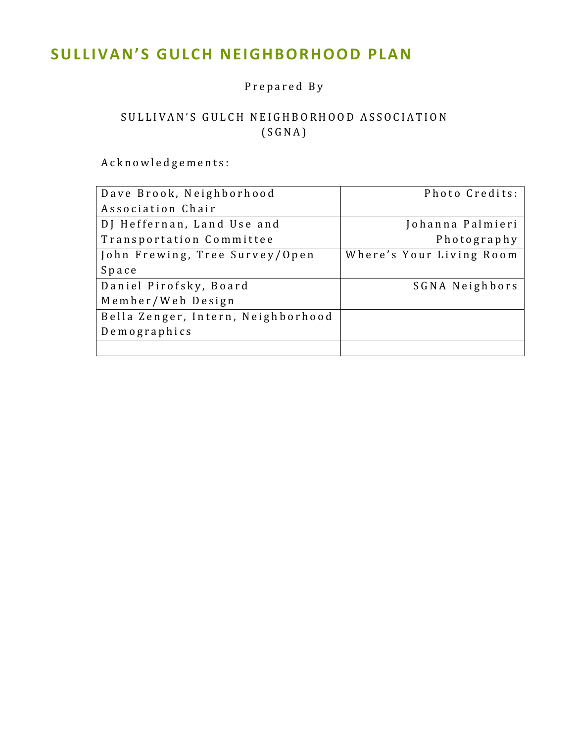# **SULLIVAN'S GULCH NEIGHBORHOOD PLAN**

## Prepared By

## SULLIVAN'S GULCH NEIGHBORHOOD ASSOCIATION (SGNA)

Acknowledgements:

| Dave Brook, Neighborhood           | Photo Credits:           |
|------------------------------------|--------------------------|
| Association Chair                  |                          |
| DJ Heffernan, Land Use and         | Johanna Palmieri         |
| Transportation Committee           | Photography              |
| John Frewing, Tree Survey/Open     | Where's Your Living Room |
| Space                              |                          |
| Daniel Pirofsky, Board             | SGNA Neighbors           |
| Member/Web Design                  |                          |
| Bella Zenger, Intern, Neighborhood |                          |
| Demographics                       |                          |
|                                    |                          |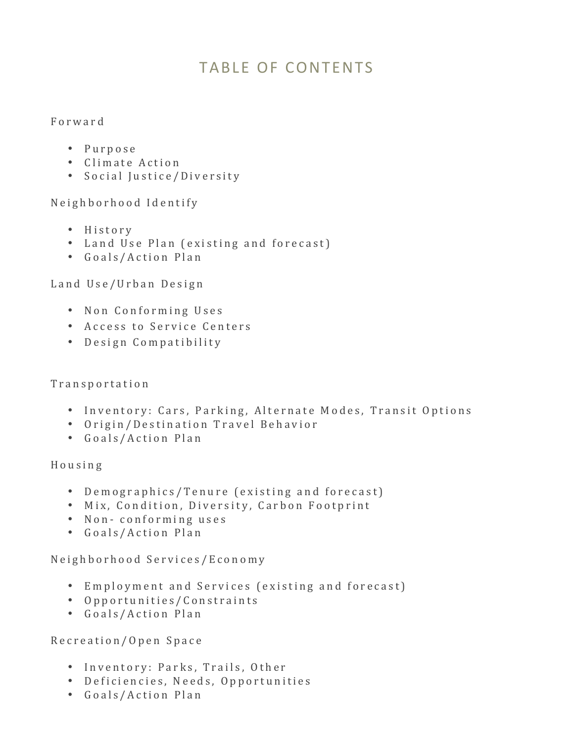# TABLE OF CONTENTS

#### Forward

- Purpose
- Climate Action
- Social Justice/Diversity

Neighborhood Identify

- History
- Land Use Plan (existing and forecast)
- Goals/Action Plan

Land Use/Urban Design

- Non Conforming Uses
- Access to Service Centers
- Design Compatibility

#### Transportation

- Inventory: Cars, Parking, Alternate Modes, Transit Options
- Origin/Destination Travel Behavior
- Goals/Action Plan

Housing

- Demographics/Tenure (existing and forecast)
- Mix, Condition, Diversity, Carbon Footprint
- Non-conforming uses
- Goals/Action Plan

Neighborhood Services/Economy

- Employment and Services (existing and forecast)
- Opportunities/Constraints
- Goals/Action Plan

Recreation/Open Space

- Inventory: Parks, Trails, Other
- Deficiencies, Needs, Opportunities
- Goals/Action Plan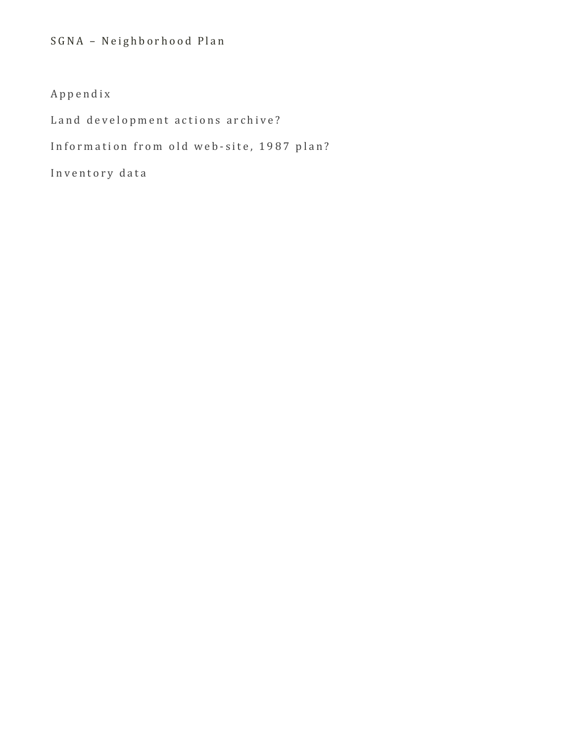## SGNA - Neighborhood Plan

## Appendix

Land development actions archive?

Information from old web-site, 1987 plan?

Inventory data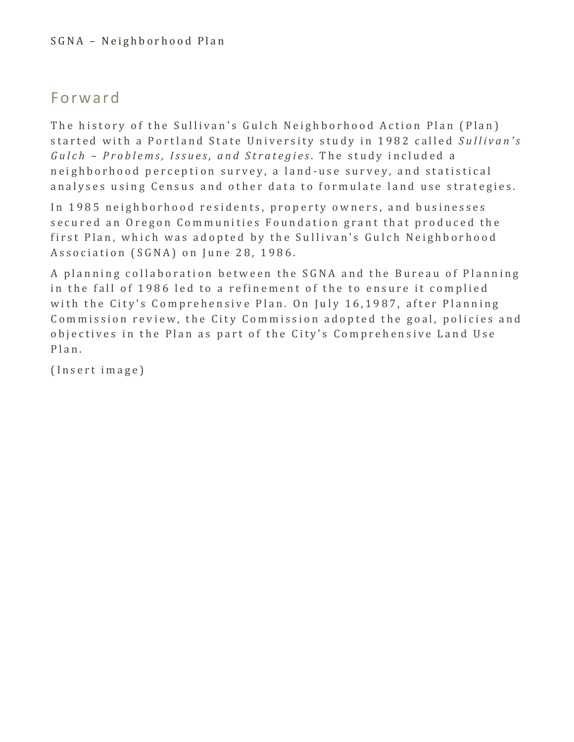## Forward

The history of the Sullivan's Gulch Neighborhood Action Plan (Plan) started with a Portland State University study in 1982 called *Sullivan's Gulch – Problems, Issues, and Strategies*. The study included a neighborhood perception survey, a land-use survey, and statistical analyses using Census and other data to formulate land use strategies.

In 1985 neighborhood residents, property owners, and businesses secured an Oregon Communities Foundation grant that produced the first Plan, which was adopted by the Sullivan's Gulch Neighborhood Association (SGNA) on June 28, 1986.

A planning collaboration between the SGNA and the Bureau of Planning in the fall of 1986 led to a refinement of the to ensure it complied with the City's Comprehensive Plan. On July 16,1987, after Planning Commission review, the City Commission adopted the goal, policies and objectives in the Plan as part of the City's Comprehensive Land Use Plan.

(Insert image)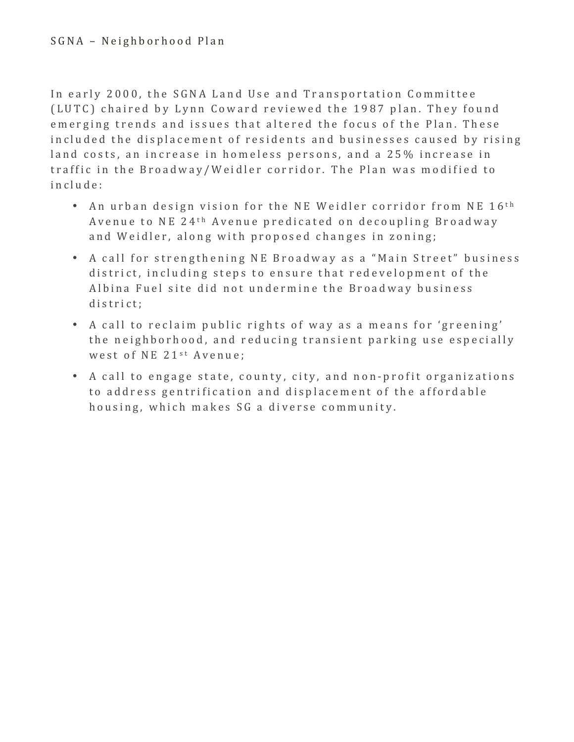In early 2000, the SGNA Land Use and Transportation Committee (LUTC) chaired by Lynn Coward reviewed the 1987 plan. They found emerging trends and issues that altered the focus of the Plan. These included the displacement of residents and businesses caused by rising land costs, an increase in homeless persons, and a 25% increase in traffic in the Broadway/Weidler corridor. The Plan was modified to include:

- An urban design vision for the NE Weidler corridor from NE 16<sup>th</sup> Avenue to NE 24<sup>th</sup> Avenue predicated on decoupling Broadway and Weidler, along with proposed changes in zoning;
- A call for strengthening NE Broadway as a "Main Street" business district, including steps to ensure that redevelopment of the Albina Fuel site did not undermine the Broadway business district;
- A call to reclaim public rights of way as a means for 'greening' the neighborhood, and reducing transient parking use especially west of NE 21<sup>st</sup> Avenue;
- A call to engage state, county, city, and non-profit organizations to address gentrification and displacement of the affordable housing, which makes SG a diverse community.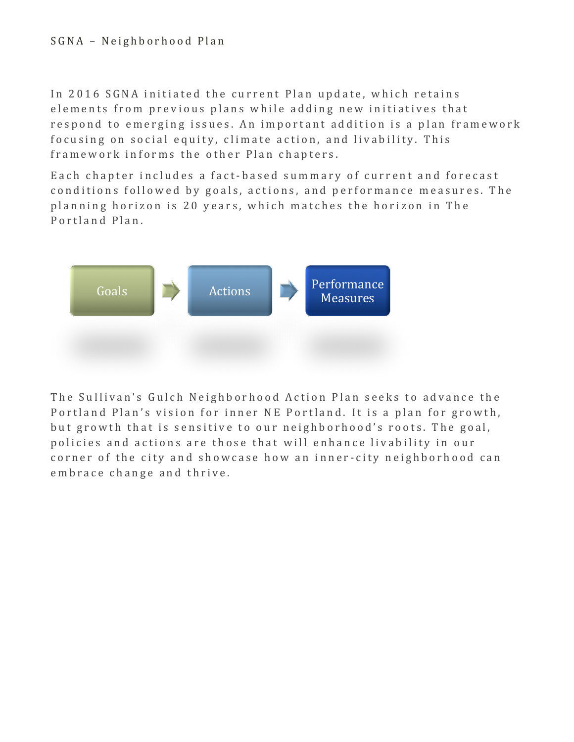In 2016 SGNA initiated the current Plan update, which retains elements from previous plans while adding new initiatives that respond to emerging issues. An important addition is a plan framework focusing on social equity, climate action, and livability. This framework informs the other Plan chapters.

Each chapter includes a fact-based summary of current and forecast conditions followed by goals, actions, and performance measures. The planning horizon is 20 years, which matches the horizon in The Portland Plan.



The Sullivan's Gulch Neighborhood Action Plan seeks to advance the Portland Plan's vision for inner NE Portland. It is a plan for growth, but growth that is sensitive to our neighborhood's roots. The goal, policies and actions are those that will enhance livability in our corner of the city and showcase how an inner-city neighborhood can embrace change and thrive.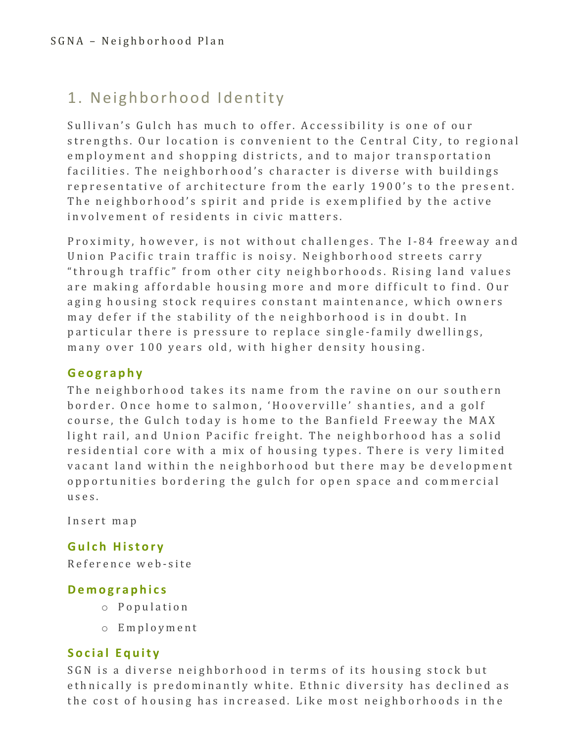# 1. Neighborhood Identity

Sullivan's Gulch has much to offer. Accessibility is one of our strengths. Our location is convenient to the Central City, to regional employment and shopping districts, and to major transportation facilities. The neighborhood's character is diverse with buildings representative of architecture from the early 1900's to the present. The neighborhood's spirit and pride is exemplified by the active involvement of residents in civic matters.

Proximity, however, is not without challenges. The I-84 freeway and Union Pacific train traffic is noisy. Neighborhood streets carry "through traffic" from other city neighborhoods. Rising land values are making affordable housing more and more difficult to find. Our aging housing stock requires constant maintenance, which owners may defer if the stability of the neighborhood is in doubt. In particular there is pressure to replace single-family dwellings, many over 100 years old, with higher density housing.

## **Geography**

The neighborhood takes its name from the ravine on our southern border. Once home to salmon, 'Hooverville' shanties, and a golf course, the Gulch today is home to the Banfield Freeway the MAX light rail, and Union Pacific freight. The neighborhood has a solid residential core with a mix of housing types. There is very limited vacant land within the neighborhood but there may be development opportunities bordering the gulch for open space and commercial uses . 

Insert map

## Gulch **History**

Reference web - site

## **Demographics**

- o Population
- o Employment

## **Social Equity**

SGN is a diverse neighborhood in terms of its housing stock but ethnically is predominantly white. Ethnic diversity has declined as the cost of housing has increased. Like most neighborhoods in the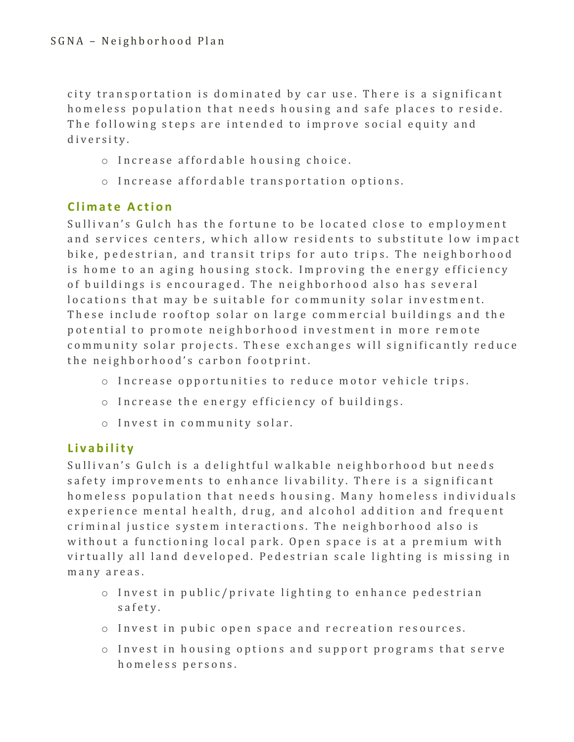city transportation is dominated by car use. There is a significant homeless population that needs housing and safe places to reside. The following steps are intended to improve social equity and diversity.

- o Increase affordable housing choice.
- o Increase affordable transportation options.

## **Climate Action**

Sullivan's Gulch has the fortune to be located close to employment and services centers, which allow residents to substitute low impact bike, pedestrian, and transit trips for auto trips. The neighborhood is home to an aging housing stock. Improving the energy efficiency of buildings is encouraged. The neighborhood also has several locations that may be suitable for community solar investment. These include rooftop solar on large commercial buildings and the potential to promote neighborhood investment in more remote community solar projects. These exchanges will significantly reduce the neighborhood's carbon footprint.

- o Increase opportunities to reduce motor vehicle trips.
- $\circ$  Increase the energy efficiency of buildings.
- o Invest in community solar.

## **Livability**

Sullivan's Gulch is a delightful walkable neighborhood but needs safety improvements to enhance livability. There is a significant homeless population that needs housing. Many homeless individuals experience mental health, drug, and alcohol addition and frequent criminal justice system interactions. The neighborhood also is without a functioning local park. Open space is at a premium with virtually all land developed. Pedestrian scale lighting is missing in many areas.

- $\circ$  Invest in public/private lighting to enhance pedestrian safety.
- $\circ$  Invest in pubic open space and recreation resources.
- $\circ$  Invest in housing options and support programs that serve homeless persons.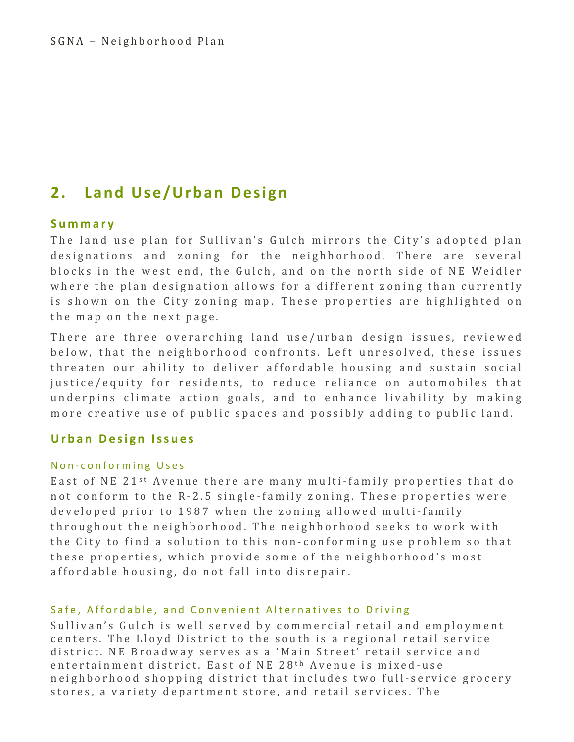## **2. Land Use/Urban Design**

#### **Summary**

The land use plan for Sullivan's Gulch mirrors the City's adopted plan designations and zoning for the neighborhood. There are several blocks in the west end, the Gulch, and on the north side of NE Weidler where the plan designation allows for a different zoning than currently is shown on the City zoning map. These properties are highlighted on the map on the next page.

There are three overarching land use/urban design issues, reviewed below, that the neighborhood confronts. Left unresolved, these issues threaten our ability to deliver affordable housing and sustain social justice/equity for residents, to reduce reliance on automobiles that underpins climate action goals, and to enhance livability by making more creative use of public spaces and possibly adding to public land.

#### **Urban Design Issues**

#### Non-conforming Uses

East of NE 21<sup>st</sup> Avenue there are many multi-family properties that do not conform to the R-2.5 single-family zoning. These properties were developed prior to 1987 when the zoning allowed multi-family throughout the neighborhood. The neighborhood seeks to work with the City to find a solution to this non-conforming use problem so that these properties, which provide some of the neighborhood's most affordable housing, do not fall into disrepair.

#### Safe, Affordable, and Convenient Alternatives to Driving

Sullivan's Gulch is well served by commercial retail and employment centers. The Lloyd District to the south is a regional retail service district. NE Broadway serves as a 'Main Street' retail service and entertainment district. East of NE 28<sup>th</sup> Avenue is mixed-use neighborhood shopping district that includes two full-service grocery stores, a variety department store, and retail services. The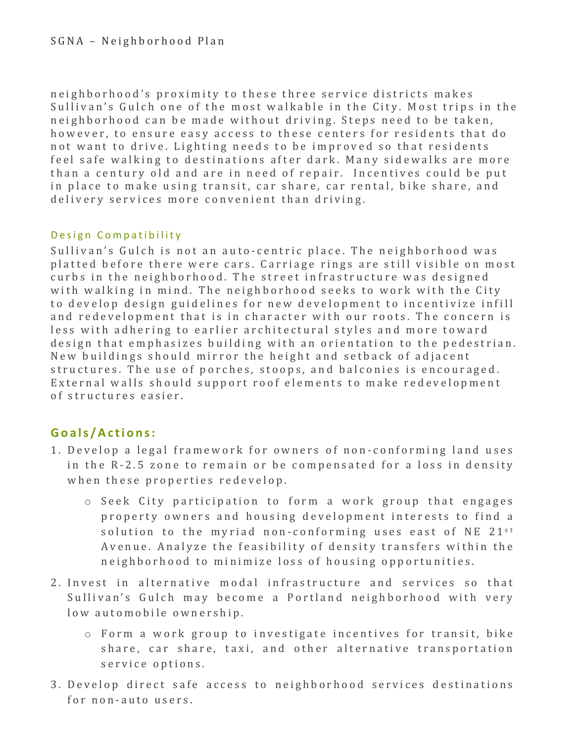neighborhood's proximity to these three service districts makes Sullivan's Gulch one of the most walkable in the City. Most trips in the neighborhood can be made without driving. Steps need to be taken, however, to ensure easy access to these centers for residents that do not want to drive. Lighting needs to be improved so that residents feel safe walking to destinations after dark. Many sidewalks are more than a century old and are in need of repair. Incentives could be put in place to make using transit, car share, car rental, bike share, and delivery services more convenient than driving.

#### Design Compatibility

Sullivan's Gulch is not an auto-centric place. The neighborhood was platted before there were cars. Carriage rings are still visible on most curbs in the neighborhood. The street infrastructure was designed with walking in mind. The neighborhood seeks to work with the City to develop design guidelines for new development to incentivize infill and redevelopment that is in character with our roots. The concern is less with adhering to earlier architectural styles and more toward design that emphasizes building with an orientation to the pedestrian. New buildings should mirror the height and setback of adjacent structures. The use of porches, stoops, and balconies is encouraged. External walls should support roof elements to make redevelopment of structures easier . 

## **Goals /Actions:**

- 1. Develop a legal framework for owners of non-conforming land uses in the R-2.5 zone to remain or be compensated for a loss in density when these properties redevelop.
	- o Seek City participation to f orm a work group that engages property owners and housing development interests to find a solution to the myriad non-conforming uses east of NE  $21^{st}$ Avenue. Analyze the feasibility of density transfers within the neighborhood to minimize loss of housing opportunities.
- 2. Invest in alternative modal infrastructure and services so that Sullivan's Gulch may become a Portland neighborhood with very low automobile ownership.
	- o Form a work group to investigate incentives for transit, bike share, car share, taxi, and other alternative transportation service options.
- 3. Develop direct safe access to neighborhood services destinations for non-auto users.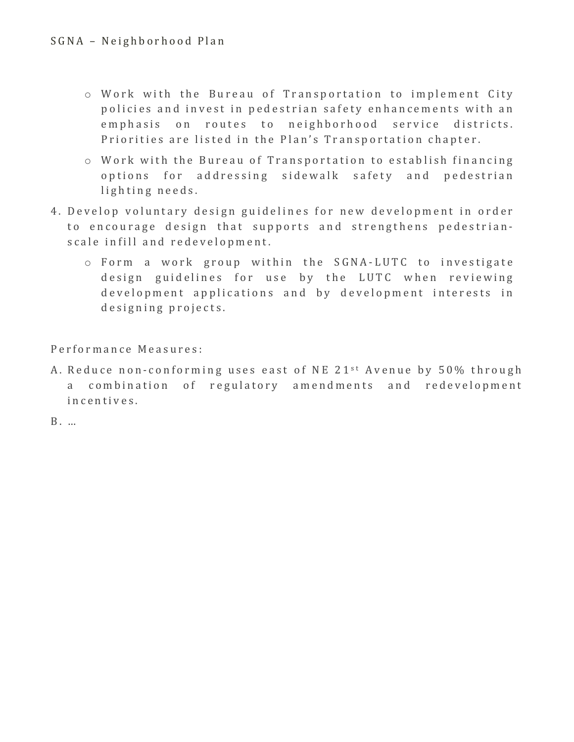- $\circ$  Work with the Bureau of Transportation to implement City policies and invest in pedestrian safety enhancements with an emphasis on routes to neighborhood service districts. Priorities are listed in the Plan's Transportation chapter.
- $\circ$  Work with the Bureau of Transportation to establish financing options for addressing sidewalk safety and pedestrian lighting needs.
- 4. Develop voluntary design guidelines for new development in order to encourage design that supports and strengthens pedestrianscale infill and redevelopment.
	- o Form a work group within the SGNA LUTC to investigate design guidelines for use by the LUTC when reviewing development applications and by development interests in designing projects.

Performance Measures:

A. Reduce non-conforming uses east of NE 21<sup>st</sup> Avenue by 50% through a combination of regulatory amendments and redevelopment incentives .

B . …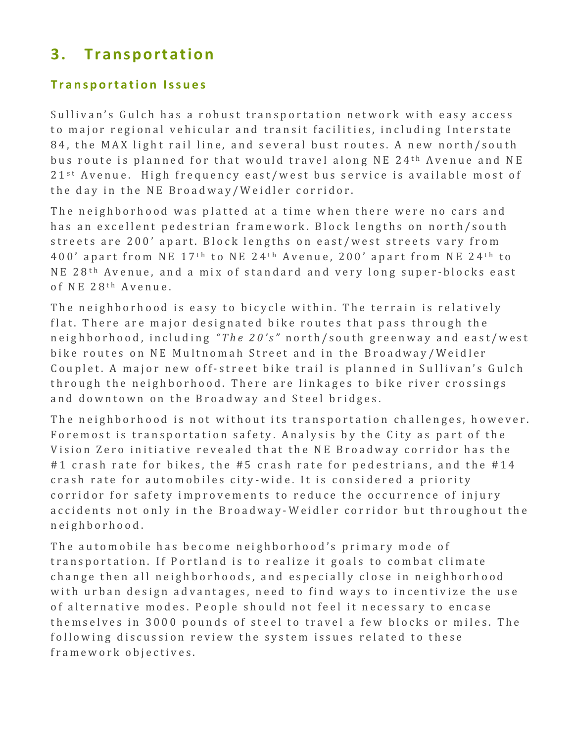## **3. Transportation**

### **Transportation Issues**

Sullivan's Gulch has a robust transportation network with easy access to major regional vehicular and transit facilities, including Interstate 84, the MAX light rail line, and several bust routes. A new north/south bus route is planned for that would travel along NE 24<sup>th</sup> Avenue and NE  $21^{st}$  Avenue. High frequency east/west bus service is available most of the day in the NE Broadway/Weidler corridor.

The neighborhood was platted at a time when there were no cars and has an excellent pedestrian framework. Block lengths on north/south streets are 200' apart. Block lengths on east/west streets vary from  $400'$  apart from NE  $17<sup>th</sup>$  to NE  $24<sup>th</sup>$  Avenue,  $200'$  apart from NE  $24<sup>th</sup>$  to NE 28<sup>th</sup> Avenue, and a mix of standard and very long super-blocks east of NE 28<sup>th</sup> Avenue.

The neighborhood is easy to bicycle within. The terrain is relatively flat. There are major designated bike routes that pass through the neighborhood, including "The 20's" north/south greenway and east/west bike routes on NE Multnomah Street and in the Broadway/Weidler Couplet. A major new off-street bike trail is planned in Sullivan's Gulch through the neighborhood. There are linkages to bike river crossings and downtown on the Broadway and Steel bridges.

The neighborhood is not without its transportation challenges, however. Foremost is transportation safety. Analysis by the City as part of the Vision Zero initiative revealed that the NE Broadway corridor has the #1 crash rate for bikes, the #5 crash rate for pedestrians, and the #14 crash rate for automobiles city-wide. It is considered a priority corridor for safety improvements to reduce the occurrence of injury accidents not only in the Broadway-Weidler corridor but throughout the neighborhoo d .

The automobile has become neighborhood's primary mode of transportation. If Portland is to realize it goals to combat climate change then all neighborhoods, and especially close in neighborhood with urban design advantages, need to find ways to incentivize the use of alternative modes. People should not feel it necessary to encase themselves in 3000 pounds of steel to travel a few blocks or miles. The following discussion review the system issues related to these framework objectives.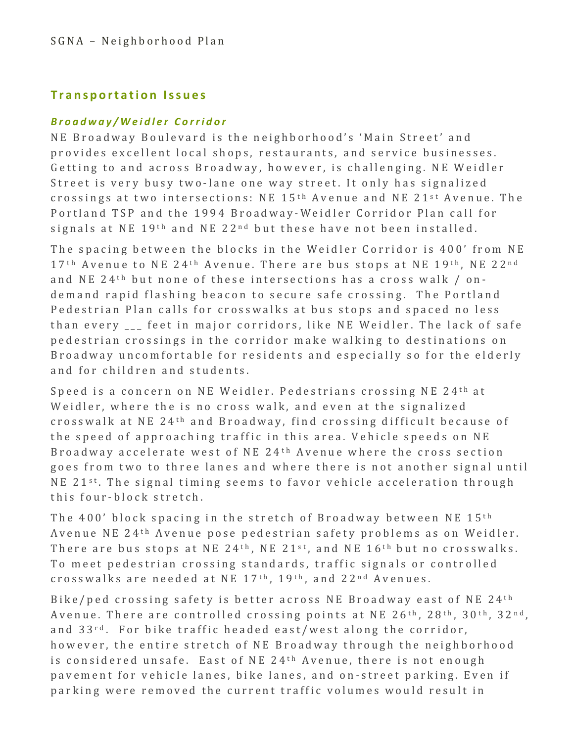### **Transportation Issues**

#### *Broadway/Weidler Corridor*

NE Broadway Boulevard is the neighborhood's 'Main Street' and provides excellent local shops, restaurants, and service businesses. Getting to and across Broadway, however, is challenging. NE Weidler Street is very busy two-lane one way street. It only has signalized crossings at two intersections:  $NE$  15<sup>th</sup> Avenue and NE 21<sup>st</sup> Avenue. The Portland TSP and the 1994 Broadway-Weidler Corridor Plan call for signals at NE 19<sup>th</sup> and NE 22<sup>nd</sup> but these have not been installed.

The spacing between the blocks in the Weidler Corridor is 400' from NE 17<sup>th</sup> Avenue to NE 24<sup>th</sup> Avenue. There are bus stops at NE 19<sup>th</sup>, NE 22<sup>nd</sup> and NE 24<sup>th</sup> but none of these intersections has a cross walk  $/$  ondemand rapid flashing beacon to secure safe crossing. The Portland Pedestrian Plan calls for crosswalks at bus stops and spaced no less than every feet in major corridors, like NE Weidler. The lack of safe pedestrian crossings in the corridor make walking to destinations on Broadway uncomfortable for residents and especially so for the elderly and for children and students.

Speed is a concern on NE Weidler. Pedestrians crossing NE 24<sup>th</sup> at Weidler, where the is no cross walk, and even at the signalized crosswalk at NE 24<sup>th</sup> and Broadway, find crossing difficult because of the speed of approaching traffic in this area. Vehicle speeds on NE Broadway accelerate west of NE 24<sup>th</sup> Avenue where the cross section goes from two to three lanes and where there is not another signal until NE  $21^{st}$ . The signal timing seems to favor vehicle acceleration through this four-block stretch.

The  $400'$  block spacing in the stretch of Broadway between NE  $15<sup>th</sup>$ Avenue NE 24<sup>th</sup> Avenue pose pedestrian safety problems as on Weidler. There are bus stops at NE 24<sup>th</sup>, NE 21<sup>st</sup>, and NE 16<sup>th</sup> but no crosswalks. To meet pedestrian crossing standards, traffic signals or controlled crosswalks are needed at NE 17<sup>th</sup>, 19<sup>th</sup>, and 22<sup>nd</sup> Avenues.

Bike/ped crossing safety is better across NE Broadway east of NE  $24<sup>th</sup>$ Avenue. There are controlled crossing points at NE  $26<sup>th</sup>$ ,  $28<sup>th</sup>$ ,  $30<sup>th</sup>$ ,  $32<sup>nd</sup>$ , and 33<sup>rd</sup>. For bike traffic headed east/west along the corridor, however, the entire stretch of NE Broadway through the neighborhood is considered unsafe. East of NE 24<sup>th</sup> Avenue, there is not enough pavement for vehicle lanes, bike lanes, and on-street parking. Even if parking were removed the current traffic volumes would result in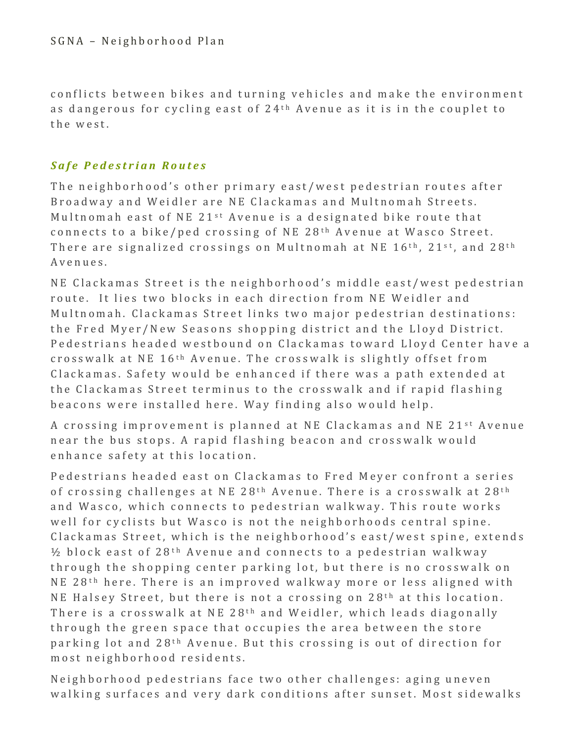conflicts between bikes and turning vehicles and make the environment as dangerous for cycling east of  $24<sup>th</sup>$  Avenue as it is in the couplet to the west.

### *Safe Pedestrian Routes*

The neighborhood's other primary east/west pedestrian routes after Broadway and Weidler are NE Clackamas and Multnomah Streets. Multnomah east of NE  $21^{st}$  Avenue is a designated bike route that connects to a bike/ped crossing of NE 28<sup>th</sup> Avenue at Wasco Street. There are signalized crossings on Multnomah at NE  $16<sup>th</sup>$ , 21<sup>st</sup>, and 28<sup>th</sup> Avenues. 

NE Clackamas Street is the neighborhood's middle east/west pedestrian route. It lies two blocks in each direction from NE Weidler and Multnomah. Clackamas Street links two major pedestrian destinations: the Fred Myer/New Seasons shopping district and the Lloyd District. Pedestrians headed westbound on Clackamas toward Lloyd Center have a crosswalk at NE  $16<sup>th</sup>$  Avenue. The crosswalk is slightly offset from Clackamas. Safety would be enhanced if there was a path extended at the Clackamas Street terminus to the crosswalk and if rapid flashing beacons were installed here. Way finding also would help.

A crossing improvement is planned at NE Clackamas and NE 21<sup>st</sup> Avenue near the bus stops. A rapid flashing beacon and crosswalk would enhance safety at this location.

Pedestrians headed east on Clackamas to Fred Meyer confront a series of crossing challenges at NE 28<sup>th</sup> Avenue. There is a crosswalk at  $28<sup>th</sup>$ and Wasco, which connects to pedestrian walkway. This route works well for cyclists but Wasco is not the neighborhoods central spine. Clackamas Street, which is the neighborhood's east/west spine, extends  $\frac{1}{2}$  block east of  $28$ <sup>th</sup> Avenue and connects to a pedestrian walkway through the shopping center parking lot, but there is no crosswalk on NE 28<sup>th</sup> here. There is an improved walkway more or less aligned with NE Halsey Street, but there is not a crossing on  $28<sup>th</sup>$  at this location. There is a crosswalk at NE 28<sup>th</sup> and Weidler, which leads diagonally through the green space that occupies the area between the store parking lot and  $28$ <sup>th</sup> Avenue. But this crossing is out of direction for most neighborhood residents.

Neighborhood pedestrians face two other challenges: aging uneven walking surfaces and very dark conditions after sunset. Most sidewalks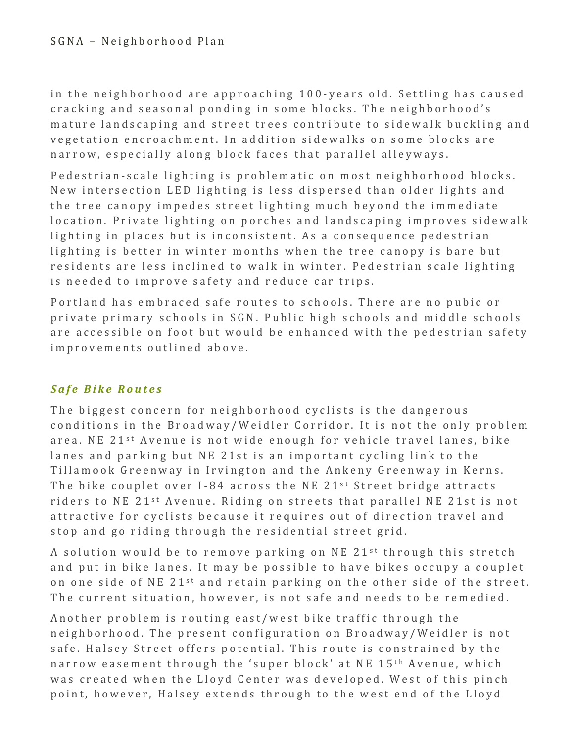in the neighborhood are approaching 100-years old. Settling has caused cracking and seasonal ponding in some blocks. The neighborhood's mature landscaping and street trees contribute to sidewalk buckling and vegetation encroachment. In addition sidewalks on some blocks are narrow, especially along block faces that parallel alleyways.

Pedestrian-scale lighting is problematic on most neighborhood blocks. New intersection LED lighting is less dispersed than older lights and the tree canopy impedes street lighting much beyond the immediate location. Private lighting on porches and landscaping improves sidewalk lighting in places but is inconsistent. As a consequence pedestrian lighting is better in winter months when the tree canopy is bare but residents are less inclined to walk in winter. Pedestrian scale lighting is needed to improve safety and reduce car trips.

Portland has embraced safe routes to schools. There are no pubic or private primary schools in SGN. Public high schools and middle schools are accessible on foot but would be enhanced with the pedestrian safety improvements outlined above.

## *Safe Bike Routes*

The biggest concern for neighborhood cyclists is the dangerous conditions in the Broadway/Weidler Corridor. It is not the only problem area. NE 21<sup>st</sup> Avenue is not wide enough for vehicle travel lanes, bike lanes and parking but NE 21st is an important cycling link to the Tillamook Greenway in Irvington and the Ankeny Greenway in Kerns. The bike couplet over I-84 across the NE  $21^{st}$  Street bridge attracts riders to NE 21<sup>st</sup> Avenue. Riding on streets that parallel NE 21st is not attractive for cyclists because it requires out of direction travel and stop and go riding through the residential street grid.

A solution would be to remove parking on NE 21<sup>st</sup> through this stretch and put in bike lanes. It may be possible to have bikes occupy a couplet on one side of NE 21<sup>st</sup> and retain parking on the other side of the street. The current situation, however, is not safe and needs to be remedied.

Another problem is routing east/west bike traffic through the neighborhood. The present configuration on Broadway/Weidler is not safe. Halsey Street offers potential. This route is constrained by the narrow easement through the 'super block' at NE 15<sup>th</sup> Avenue, which was created when the Lloyd Center was developed. West of this pinch point, however, Halsey extends through to the west end of the Lloyd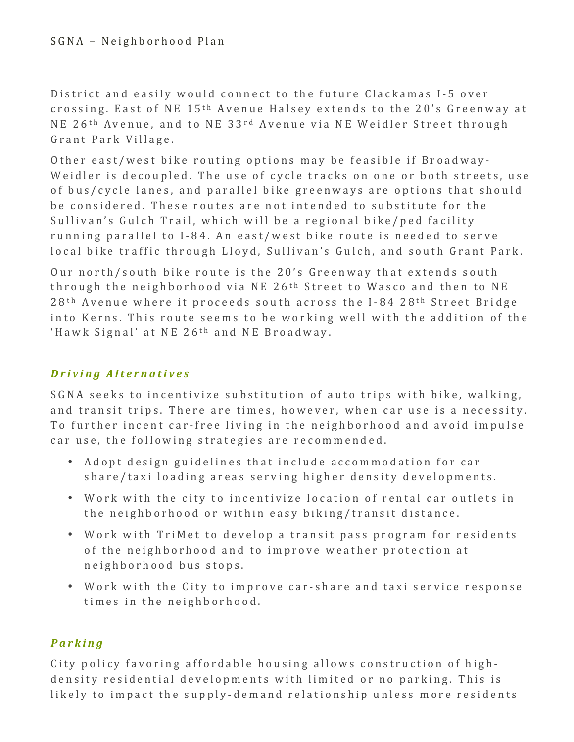District and easily would connect to the future Clackamas I-5 over crossing. East of NE 15<sup>th</sup> Avenue Halsey extends to the 20's Greenway at NE 26<sup>th</sup> Avenue, and to NE 33<sup>rd</sup> Avenue via NE Weidler Street through Grant Park Village.

Other east/west bike routing options may be feasible if Broadway-Weidler is decoupled. The use of cycle tracks on one or both streets, use of bus/cycle lanes, and parallel bike greenways are options that should be considered. These routes are not intended to substitute for the Sullivan's Gulch Trail, which will be a regional bike/ped facility running parallel to I-84. An east/west bike route is needed to serve local bike traffic through Lloyd, Sullivan's Gulch, and south Grant Park.

Our north/south bike route is the 20's Greenway that extends south through the neighborhood via NE  $26<sup>th</sup>$  Street to Wasco and then to NE  $28<sup>th</sup>$  Avenue where it proceeds south across the I-84  $28<sup>th</sup>$  Street Bridge into Kerns. This route seems to be working well with the addition of the 'Hawk Signal' at NE 26<sup>th</sup> and NE Broadway.

## *Driving Alternatives*

SGNA seeks to incentivize substitution of auto trips with bike, walking, and transit trips. There are times, however, when car use is a necessity. To further incent car-free living in the neighborhood and avoid impulse car use, the following strategies are recommended.

- Adopt design guidelines that include accommodation for car share/taxi loading areas serving higher density developments.
- Work with the city to incentivize location of rental car outlets in the neighborhood or within easy biking/transit distance.
- Work with TriMet to develop a transit pass program for residents of the neighborhood and to improve weather protection at neighborhood bus stops.
- Work with the City to improve car-share and taxi service response times in the neighborhood.

## *Parking*

City policy favoring affordable housing allows construction of highdensity residential developments with limited or no parking. This is likely to impact the supply-demand relationship unless more residents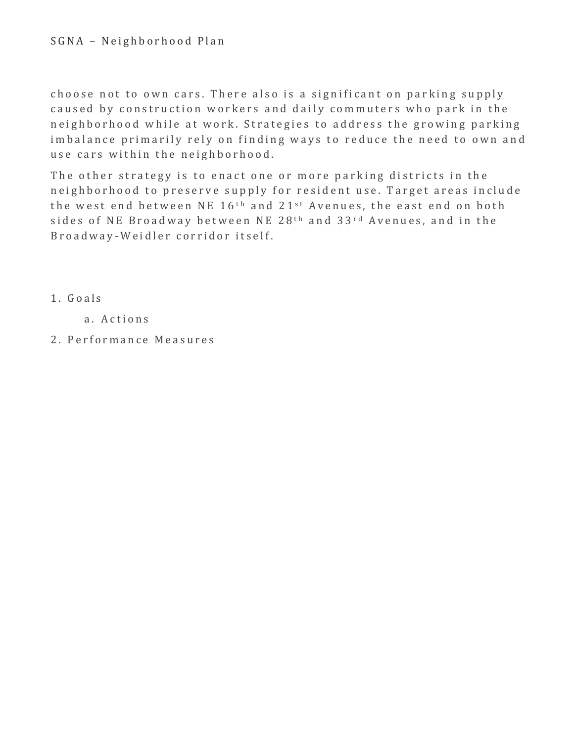#### SGNA - Neighborhood Plan

choose not to own cars. There also is a significant on parking supply caused by construction workers and daily commuters who park in the neighborhood while at work. Strategies to address the growing parking imbalance primarily rely on finding ways to reduce the need to own and use cars within the neighborhood.

The other strategy is to enact one or more parking districts in the neighborhood to preserve supply for resident use. Target areas include the west end between NE  $16<sup>th</sup>$  and  $21<sup>st</sup>$  Avenues, the east end on both sides of NE Broadway between NE 28<sup>th</sup> and 33<sup>rd</sup> Avenues, and in the Broadway - Weidler corridor itself.

- 1 . Goals
	- a. Actions
- 2 . Performance Measures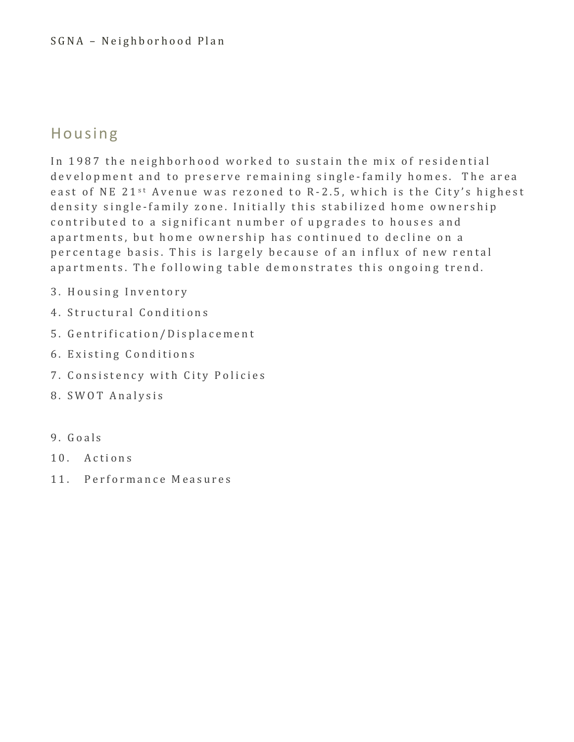## Housing

In 1987 the neighborhood worked to sustain the mix of residential development and to preserve remaining single-family homes. The area east of NE 21<sup>st</sup> Avenue was rezoned to R-2.5, which is the City's highest density single-family zone. Initially this stabilized home ownership contributed to a significant number of upgrades to houses and apartments, but home ownership has continued to decline on a percentage basis. This is largely because of an influx of new rental apartments. The following table demonstrates this ongoing trend.

- 3. Housing Inventory
- 4. Structural Conditions
- 5 . Gentrification/Displacement
- 6. Existing Conditions
- 7 . Consistency with City Policies
- 8. SWOT Analysis
- 9 . Goals
- 10. Actions
- 11. Performance Measures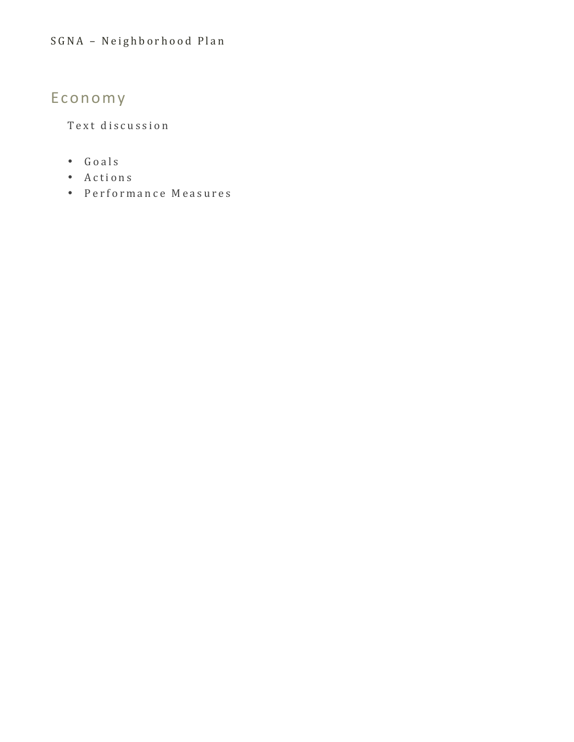# Economy

Text discussion

- Goals
- Actions
- Performance Measures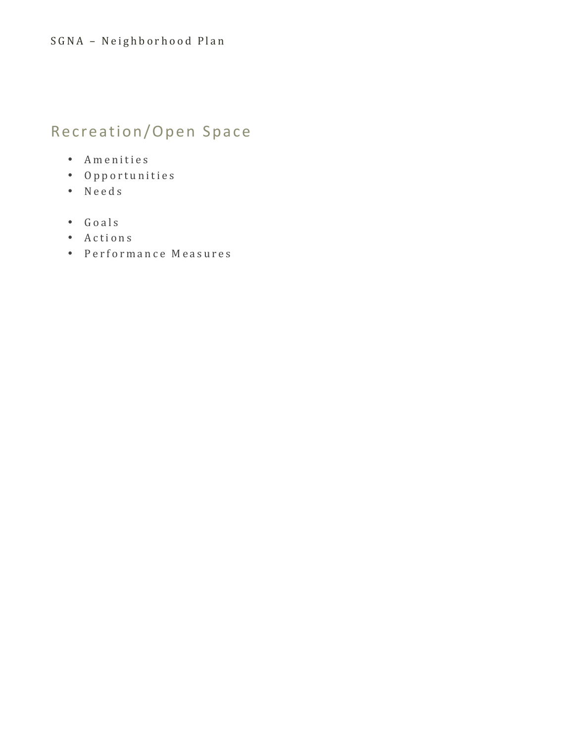# Recreation/Open Space

- Amenities
- Opportunities
- Needs
- Goals
- Actions
- Performance Measures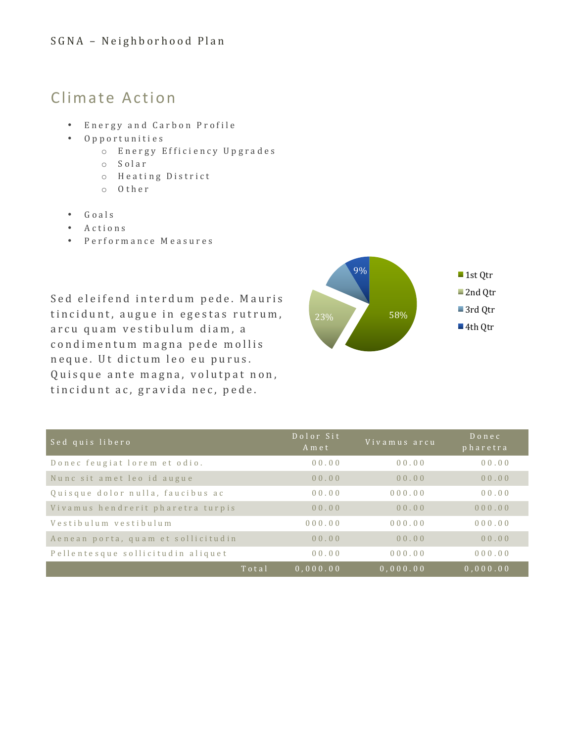## Climate Action

- Energy and Carbon Profile
- Opportunities
	- o Energy Efficiency Upgrades
	- o Solar
	- o Heating District
	- o Other
- Goals
- Actions
- Performance Measures

Sed eleifend interdum pede. Mauris tincidunt, augue in egestas rutrum, arcu quam vestibulum diam, a condimentum magna pede mollis neque. Ut dictum leo eu purus. Quisque ante magna, volutpat non, tincidunt ac, gravida nec, pede.



| Sed quis libero                    | Dolor Sit<br>Amet | Vivamus arcu | $D$ on e c<br>pharetra |
|------------------------------------|-------------------|--------------|------------------------|
| Donec feugiat lorem et odio.       | 00.00             | 00.00        | 00.00                  |
| Nunc sit amet leo id augue         | 00.00             | 00.00        | 00.00                  |
| Quisque dolor nulla, faucibus ac   | 00.00             | 000.00       | 00.00                  |
| Vivamus hendrerit pharetra turpis  | 00.00             | 00.00        | 000.00                 |
| Vestibulum vestibulum              | 000.00            | 000.00       | 000.00                 |
| Aenean porta, quam et sollicitudin | 00.00             | 00.00        | 00.00                  |
| Pellentesque sollicitudin aliquet  | 00.00             | 000.00       | 000.00                 |
| Total                              | 0.000.00          | 0.000.00     | 0.000.00               |